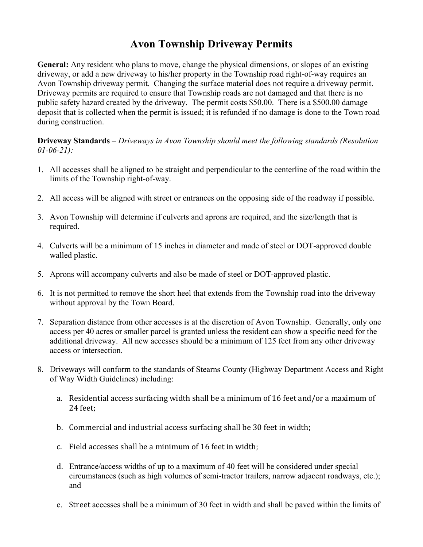## **Avon Township Driveway Permits**

**General:** Any resident who plans to move, change the physical dimensions, or slopes of an existing driveway, or add a new driveway to his/her property in the Township road right-of-way requires an Avon Township driveway permit. Changing the surface material does not require a driveway permit. Driveway permits are required to ensure that Township roads are not damaged and that there is no public safety hazard created by the driveway. The permit costs \$50.00. There is a \$500.00 damage deposit that is collected when the permit is issued; it is refunded if no damage is done to the Town road during construction.

**Driveway Standards** – *Driveways in Avon Township should meet the following standards (Resolution 01-06-21):*

- 1. All accesses shall be aligned to be straight and perpendicular to the centerline of the road within the limits of the Township right-of-way.
- 2. All access will be aligned with street or entrances on the opposing side of the roadway if possible.
- 3. Avon Township will determine if culverts and aprons are required, and the size/length that is required.
- 4. Culverts will be a minimum of 15 inches in diameter and made of steel or DOT-approved double walled plastic.
- 5. Aprons will accompany culverts and also be made of steel or DOT-approved plastic.
- 6. It is not permitted to remove the short heel that extends from the Township road into the driveway without approval by the Town Board.
- 7. Separation distance from other accesses is at the discretion of Avon Township. Generally, only one access per 40 acres or smaller parcel is granted unless the resident can show a specific need for the additional driveway. All new accesses should be a minimum of 125 feet from any other driveway access or intersection.
- 8. Driveways will conform to the standards of Stearns County (Highway Department Access and Right of Way Width Guidelines) including:
	- a. Residential access surfacing width shall be a minimum of 16 feet and/or a maximum of 24 feet;
	- b. Commercial and industrial access surfacing shall be 30 feet in width;
	- c. Field accesses shall be a minimum of 16 feet in width:
	- d. Entrance/access widths of up to a maximum of 40 feet will be considered under special circumstances (such as high volumes of semi-tractor trailers, narrow adjacent roadways, etc.); and
	- e. Street accesses shall be a minimum of 30 feet in width and shall be paved within the limits of